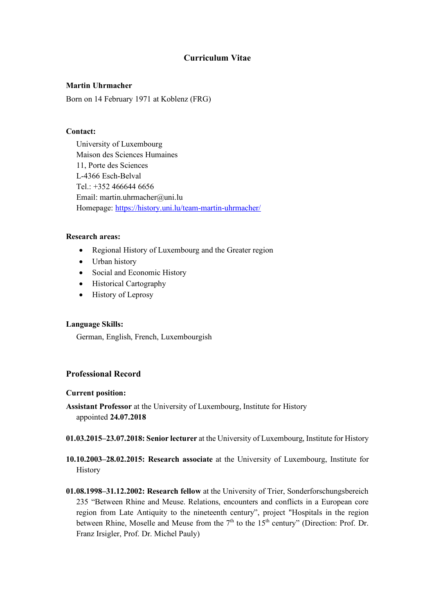# **Curriculum Vitae**

## **Martin Uhrmacher**

Born on 14 February 1971 at Koblenz (FRG)

### **Contact:**

University of Luxembourg Maison des Sciences Humaines 11, Porte des Sciences L-4366 Esch-Belval Tel.: +352 466644 6656 Email: martin.uhrmacher@uni.lu Homepage: https://history.uni.lu/team-martin-uhrmacher/

### **Research areas:**

- Regional History of Luxembourg and the Greater region
- Urban history
- Social and Economic History
- Historical Cartography
- History of Leprosy

### **Language Skills:**

German, English, French, Luxembourgish

# **Professional Record**

### **Current position:**

**Assistant Professor** at the University of Luxembourg, Institute for History appointed **24.07.2018**

- **01.03.2015–23.07.2018: Senior lecturer** at the University of Luxembourg, Institute for History
- **10.10.2003–28.02.2015: Research associate** at the University of Luxembourg, Institute for History
- **01.08.1998–31.12.2002: Research fellow** at the University of Trier, Sonderforschungsbereich 235 "Between Rhine and Meuse. Relations, encounters and conflicts in a European core region from Late Antiquity to the nineteenth century", project "Hospitals in the region between Rhine, Moselle and Meuse from the  $7<sup>th</sup>$  to the  $15<sup>th</sup>$  century" (Direction: Prof. Dr. Franz Irsigler, Prof. Dr. Michel Pauly)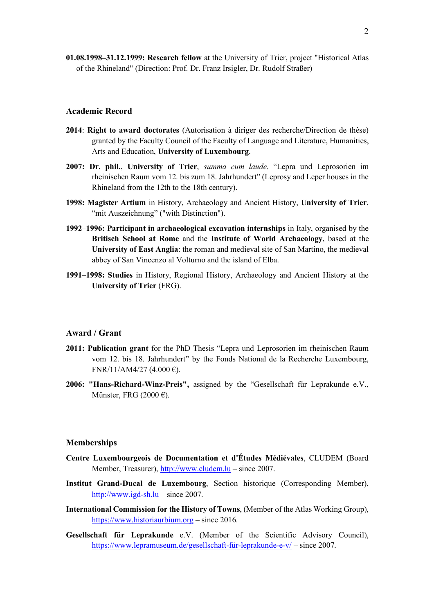**01.08.1998–31.12.1999: Research fellow** at the University of Trier, project "Historical Atlas of the Rhineland" (Direction: Prof. Dr. Franz Irsigler, Dr. Rudolf Straßer)

#### **Academic Record**

- **2014**: **Right to award doctorates** (Autorisation à diriger des recherche/Direction de thèse) granted by the Faculty Council of the Faculty of Language and Literature, Humanities, Arts and Education, **University of Luxembourg**.
- **2007: Dr. phil.**, **University of Trier**, *summa cum laude*. "Lepra und Leprosorien im rheinischen Raum vom 12. bis zum 18. Jahrhundert" (Leprosy and Leper houses in the Rhineland from the 12th to the 18th century).
- **1998: Magister Artium** in History, Archaeology and Ancient History, **University of Trier**, "mit Auszeichnung" ("with Distinction").
- **1992–1996: Participant in archaeological excavation internships** in Italy, organised by the **Britisch School at Rome** and the **Institute of World Archaeology**, based at the **University of East Anglia**: the roman and medieval site of San Martino, the medieval abbey of San Vincenzo al Volturno and the island of Elba.
- **1991–1998: Studies** in History, Regional History, Archaeology and Ancient History at the **University of Trier** (FRG).

### **Award / Grant**

- **2011: Publication grant** for the PhD Thesis "Lepra und Leprosorien im rheinischen Raum vom 12. bis 18. Jahrhundert" by the Fonds National de la Recherche Luxembourg,  $FNR/11/AM4/27$  (4.000 €).
- **2006: "Hans-Richard-Winz-Preis",** assigned by the "Gesellschaft für Leprakunde e.V., Münster, FRG (2000 $\epsilon$ ).

#### **Memberships**

- **Centre Luxembourgeois de Documentation et d'Études Médiévales**, CLUDEM (Board Member, Treasurer), http://www.cludem.lu – since 2007.
- **Institut Grand-Ducal de Luxembourg**, Section historique (Corresponding Member), http://www.igd-sh.lu – since 2007.
- **International Commission for the History of Towns**, (Member of the Atlas Working Group), https://www.historiaurbium.org – since 2016.
- **Gesellschaft für Leprakunde** e.V. (Member of the Scientific Advisory Council), https://www.lepramuseum.de/gesellschaft-für-leprakunde-e-v/ – since 2007.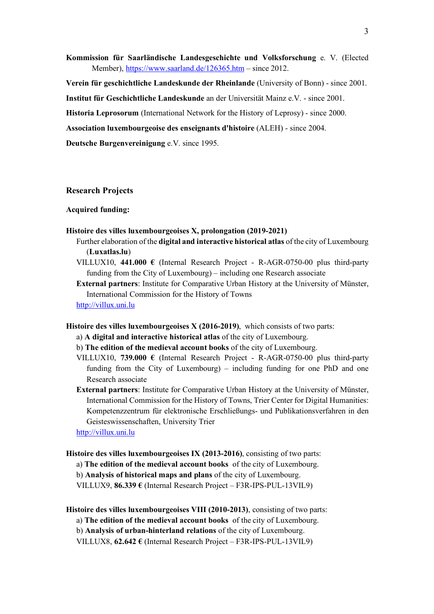**Kommission für Saarländische Landesgeschichte und Volksforschung** e. V. (Elected Member), https://www.saarland.de/126365.htm – since 2012.

**Verein für geschichtliche Landeskunde der Rheinlande** (University of Bonn) - since 2001.

**Institut für Geschichtliche Landeskunde** an der Universität Mainz e.V. - since 2001.

**Historia Leprosorum** (International Network for the History of Leprosy) - since 2000.

**Association luxembourgeoise des enseignants d'histoire** (ALEH) - since 2004.

**Deutsche Burgenvereinigung** e.V. since 1995.

### **Research Projects**

#### **Acquired funding:**

#### **Histoire des villes luxembourgeoises X, prolongation (2019-2021)**

- Further elaboration of the **digital and interactive historical atlas** of the city of Luxembourg (**Luxatlas.lu**)
- VILLUX10, **441.000 €** (Internal Research Project R-AGR-0750-00 plus third-party funding from the City of Luxembourg) – including one Research associate

**External partners**: Institute for Comparative Urban History at the University of Münster, International Commission for the History of Towns

http://villux.uni.lu

**Histoire des villes luxembourgeoises X (2016-2019)**, which consists of two parts:

- a) **A digital and interactive historical atlas** of the city of Luxembourg.
- b) **The edition of the medieval account books** of the city of Luxembourg.
- VILLUX10, **739.000 €** (Internal Research Project R-AGR-0750-00 plus third-party funding from the City of Luxembourg) – including funding for one PhD and one Research associate
- **External partners**: Institute for Comparative Urban History at the University of Münster, International Commission for the History of Towns, Trier Center for Digital Humanities: Kompetenzzentrum für elektronische Erschließungs- und Publikationsverfahren in den Geisteswissenschaften, University Trier

http://villux.uni.lu

**Histoire des villes luxembourgeoises IX (2013-2016)**, consisting of two parts:

a) **The edition of the medieval account books** of the city of Luxembourg.

b) **Analysis of historical maps and plans** of the city of Luxembourg.

VILLUX9, **86.339 €** (Internal Research Project – F3R-IPS-PUL-13VIL9)

**Histoire des villes luxembourgeoises VIII (2010-2013)**, consisting of two parts:

a) **The edition of the medieval account books** of the city of Luxembourg.

b) **Analysis of urban-hinterland relations** of the city of Luxembourg.

VILLUX8, **62.642 €** (Internal Research Project – F3R-IPS-PUL-13VIL9)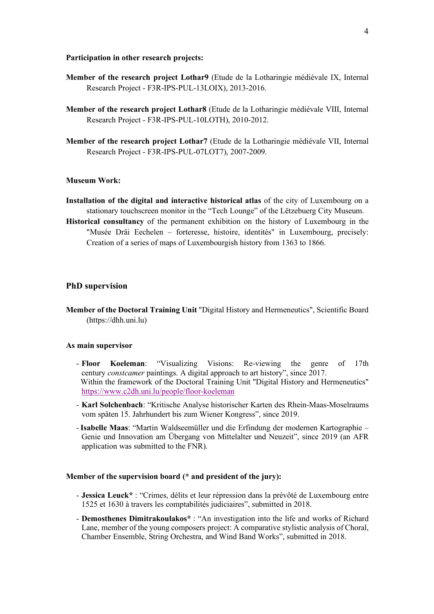#### **Participation in other research projects:**

- **Member of the research project Lothar9** (Etude de la Lotharingie médiévale IX, Internal Research Project - F3R-IPS-PUL-13LOIX), 2013-2016.
- **Member of the research project Lothar8** (Etude de la Lotharingie médiévale VIII, Internal Research Project - F3R-IPS-PUL-10LOTH), 2010-2012.
- **Member of the research project Lothar7** (Etude de la Lotharingie médiévale VII, Internal Research Project - F3R-IPS-PUL-07LOT7), 2007-2009.

### **Museum Work:**

- **Installation of the digital and interactive historical atlas** of the city of Luxembourg on a stationary touchscreen monitor in the "Tech Lounge" of the Lëtzebuerg City Museum.
- **Historical consultancy** of the permanent exhibition on the history of Luxembourg in the "Musée Dräi Eechelen – forteresse, histoire, identités" in Luxembourg, precisely: Creation of a series of maps of Luxembourgish history from 1363 to 1866.

#### **PhD supervision**

**Member of the Doctoral Training Unit** "Digital History and Hermeneutics", Scientific Board (https://dhh.uni.lu)

#### **As main supervisor**

- **Floor Koeleman**: "Visualizing Visions: Re-viewing the genre of 17th century *constcamer* paintings. A digital approach to art history", since 2017. Within the framework of the Doctoral Training Unit "Digital History and Hermeneutics" https://www.c2dh.uni.lu/people/floor-koeleman
- **Karl Solchenbach**: "Kritische Analyse historischer Karten des Rhein-Maas-Moselraums vom späten 15. Jahrhundert bis zum Wiener Kongress", since 2019.
- -**Isabelle Maas**: "Martin Waldseemüller und die Erfindung der modernen Kartographie Genie und Innovation am Übergang von Mittelalter und Neuzeit", since 2019 (an AFR application was submitted to the FNR).

#### **Member of the supervision board (\* and president of the jury):**

- **Jessica Leuck\*** : "Crimes, délits et leur répression dans la prévôté de Luxembourg entre 1525 et 1630 à travers les comptabilités judiciaires", submitted in 2018.
- **Demosthenes Dimitrakoulakos\*** : "An investigation into the life and works of Richard Lane, member of the young composers project: A comparative stylistic analysis of Choral, Chamber Ensemble, String Orchestra, and Wind Band Works", submitted in 2018.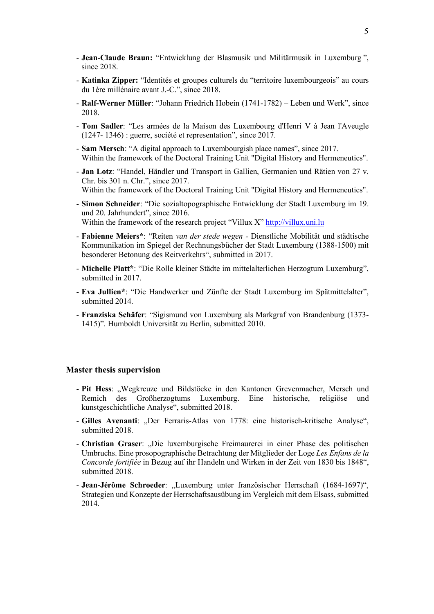- **Jean-Claude Braun:** "Entwicklung der Blasmusik und Militärmusik in Luxemburg ", since 2018.
- **Katinka Zipper:** "Identités et groupes culturels du "territoire luxembourgeois" au cours du 1ère millénaire avant J.-C.", since 2018.
- **Ralf-Werner Müller**: "Johann Friedrich Hobein (1741-1782) Leben und Werk", since 2018.
- **Tom Sadler**: "Les armées de la Maison des Luxembourg d'Henri V à Jean l'Aveugle (1247- 1346) : guerre, société et representation", since 2017.
- **Sam Mersch**: "A digital approach to Luxembourgish place names", since 2017. Within the framework of the Doctoral Training Unit "Digital History and Hermeneutics".
- **Jan Lotz**: "Handel, Händler und Transport in Gallien, Germanien und Rätien von 27 v. Chr. bis 301 n. Chr.", since 2017.
- Within the framework of the Doctoral Training Unit "Digital History and Hermeneutics".
- **Simon Schneider**: "Die sozialtopographische Entwicklung der Stadt Luxemburg im 19. und 20. Jahrhundert", since 2016. Within the framework of the research project "Villux X" http://villux.uni.lu
- **Fabienne Meiers\***: "Reiten *van der stede wegen -* Dienstliche Mobilität und städtische Kommunikation im Spiegel der Rechnungsbücher der Stadt Luxemburg (1388-1500) mit besonderer Betonung des Reitverkehrs", submitted in 2017.
- **Michelle Platt\***: "Die Rolle kleiner Städte im mittelalterlichen Herzogtum Luxemburg", submitted in 2017.
- **Eva Jullien\***: "Die Handwerker und Zünfte der Stadt Luxemburg im Spätmittelalter", submitted 2014.
- **Franziska Schäfer**: "Sigismund von Luxemburg als Markgraf von Brandenburg (1373- 1415)". Humboldt Universität zu Berlin, submitted 2010.

#### **Master thesis supervision**

- **Pit Hess**: "Wegkreuze und Bildstöcke in den Kantonen Grevenmacher, Mersch und Remich des Großherzogtums Luxemburg. Eine historische, religiöse und kunstgeschichtliche Analyse", submitted 2018.
- **Gilles Avenanti**: "Der Ferraris-Atlas von 1778: eine historisch-kritische Analyse", submitted 2018.
- **Christian Graser**: "Die luxemburgische Freimaurerei in einer Phase des politischen Umbruchs. Eine prosopographische Betrachtung der Mitglieder der Loge *Les Enfans de la Concorde fortifiée* in Bezug auf ihr Handeln und Wirken in der Zeit von 1830 bis 1848", submitted 2018
- **Jean-Jérôme Schroeder**: "Luxemburg unter französischer Herrschaft (1684-1697)", Strategien und Konzepte der Herrschaftsausübung im Vergleich mit dem Elsass, submitted 2014.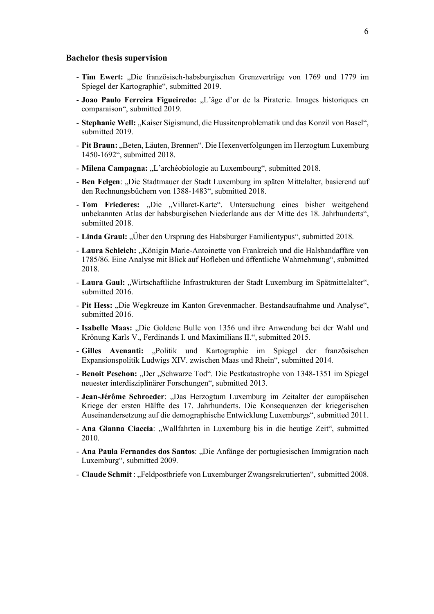#### **Bachelor thesis supervision**

- **Tim Ewert:** "Die französisch-habsburgischen Grenzverträge von 1769 und 1779 im Spiegel der Kartographie", submitted 2019.
- **Joao Paulo Ferreira Figueiredo:** "L'âge d'or de la Piraterie. Images historiques en comparaison", submitted 2019.
- **Stephanie Well:** "Kaiser Sigismund, die Hussitenproblematik und das Konzil von Basel", submitted 2019.
- Pit Braun: "Beten, Läuten, Brennen". Die Hexenverfolgungen im Herzogtum Luxemburg 1450-1692", submitted 2018.
- Milena Campagna: "L'archéobiologie au Luxembourg", submitted 2018.
- **Ben Felgen**: "Die Stadtmauer der Stadt Luxemburg im späten Mittelalter, basierend auf den Rechnungsbüchern von 1388-1483", submitted 2018.
- **Tom Friederes:** "Die "Villaret-Karte". Untersuchung eines bisher weitgehend unbekannten Atlas der habsburgischen Niederlande aus der Mitte des 18. Jahrhunderts", submitted 2018.
- **Linda Graul:** "Über den Ursprung des Habsburger Familientypus", submitted 2018.
- Laura Schleich: "Königin Marie-Antoinette von Frankreich und die Halsbandaffäre von 1785/86. Eine Analyse mit Blick auf Hofleben und öffentliche Wahrnehmung", submitted 2018.
- Laura Gaul: "Wirtschaftliche Infrastrukturen der Stadt Luxemburg im Spätmittelalter", submitted 2016.
- Pit Hess: "Die Wegkreuze im Kanton Grevenmacher. Bestandsaufnahme und Analyse", submitted 2016.
- **Isabelle Maas:** "Die Goldene Bulle von 1356 und ihre Anwendung bei der Wahl und Krönung Karls V., Ferdinands I. und Maximilians II.", submitted 2015.
- Gilles Avenanti: "Politik und Kartographie im Spiegel der französischen Expansionspolitik Ludwigs XIV. zwischen Maas und Rhein", submitted 2014.
- Benoit Peschon: "Der "Schwarze Tod". Die Pestkatastrophe von 1348-1351 im Spiegel neuester interdisziplinärer Forschungen", submitted 2013.
- **Jean-Jérôme Schroeder**: "Das Herzogtum Luxemburg im Zeitalter der europäischen Kriege der ersten Hälfte des 17. Jahrhunderts. Die Konsequenzen der kriegerischen Auseinandersetzung auf die demographische Entwicklung Luxemburgs", submitted 2011.
- **Ana Gianna Ciaccia**: "Wallfahrten in Luxemburg bis in die heutige Zeit", submitted 2010.
- **Ana Paula Fernandes dos Santos**: "Die Anfänge der portugiesischen Immigration nach Luxemburg", submitted 2009.
- **Claude Schmit** : "Feldpostbriefe von Luxemburger Zwangsrekrutierten", submitted 2008.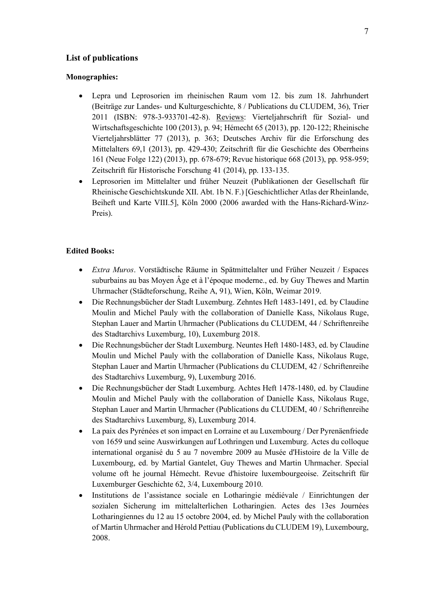# **List of publications**

#### **Monographies:**

- Lepra und Leprosorien im rheinischen Raum vom 12. bis zum 18. Jahrhundert (Beiträge zur Landes- und Kulturgeschichte, 8 / Publications du CLUDEM, 36), Trier 2011 (ISBN: 978-3-933701-42-8). Reviews: Vierteljahrschrift für Sozial- und Wirtschaftsgeschichte 100 (2013), p. 94; Hémecht 65 (2013), pp. 120-122; Rheinische Vierteljahrsblätter 77 (2013), p. 363; Deutsches Archiv für die Erforschung des Mittelalters 69,1 (2013), pp. 429-430; Zeitschrift für die Geschichte des Oberrheins 161 (Neue Folge 122) (2013), pp. 678-679; Revue historique 668 (2013), pp. 958-959; Zeitschrift für Historische Forschung 41 (2014), pp. 133-135.
- Leprosorien im Mittelalter und früher Neuzeit (Publikationen der Gesellschaft für Rheinische Geschichtskunde XII. Abt. 1b N. F.) [Geschichtlicher Atlas der Rheinlande, Beiheft und Karte VIII.5], Köln 2000 (2006 awarded with the Hans-Richard-Winz-Preis).

### **Edited Books:**

- *Extra Muros*. Vorstädtische Räume in Spätmittelalter und Früher Neuzeit / Espaces suburbains au bas Moyen Âge et à l'époque moderne., ed. by Guy Thewes and Martin Uhrmacher (Städteforschung, Reihe A, 91), Wien, Köln, Weimar 2019.
- Die Rechnungsbücher der Stadt Luxemburg. Zehntes Heft 1483-1491, ed. by Claudine Moulin and Michel Pauly with the collaboration of Danielle Kass, Nikolaus Ruge, Stephan Lauer and Martin Uhrmacher (Publications du CLUDEM, 44 / Schriftenreihe des Stadtarchivs Luxemburg, 10), Luxemburg 2018.
- Die Rechnungsbücher der Stadt Luxemburg. Neuntes Heft 1480-1483, ed. by Claudine Moulin und Michel Pauly with the collaboration of Danielle Kass, Nikolaus Ruge, Stephan Lauer and Martin Uhrmacher (Publications du CLUDEM, 42 / Schriftenreihe des Stadtarchivs Luxemburg, 9), Luxemburg 2016.
- Die Rechnungsbücher der Stadt Luxemburg. Achtes Heft 1478-1480, ed. by Claudine Moulin and Michel Pauly with the collaboration of Danielle Kass, Nikolaus Ruge, Stephan Lauer and Martin Uhrmacher (Publications du CLUDEM, 40 / Schriftenreihe des Stadtarchivs Luxemburg, 8), Luxemburg 2014.
- La paix des Pyrénées et son impact en Lorraine et au Luxembourg / Der Pyrenäenfriede von 1659 und seine Auswirkungen auf Lothringen und Luxemburg. Actes du colloque international organisé du 5 au 7 novembre 2009 au Musée d'Histoire de la Ville de Luxembourg, ed. by Martial Gantelet, Guy Thewes and Martin Uhrmacher. Special volume oft he journal Hémecht. Revue d'histoire luxembourgeoise. Zeitschrift für Luxemburger Geschichte 62, 3/4, Luxembourg 2010.
- Institutions de l'assistance sociale en Lotharingie médiévale / Einrichtungen der sozialen Sicherung im mittelalterlichen Lotharingien. Actes des 13es Journées Lotharingiennes du 12 au 15 octobre 2004, ed. by Michel Pauly with the collaboration of Martin Uhrmacher and Hérold Pettiau (Publications du CLUDEM 19), Luxembourg, 2008.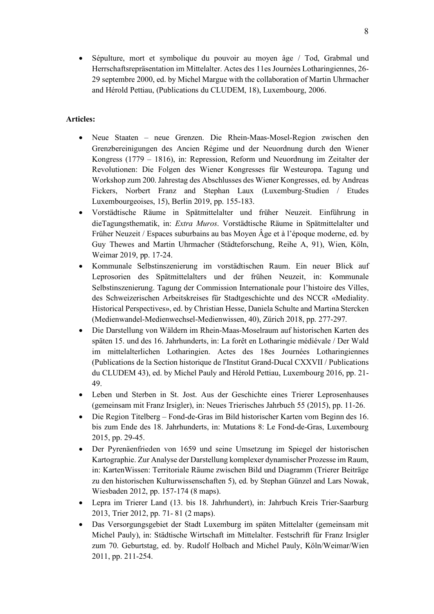• Sépulture, mort et symbolique du pouvoir au moyen âge / Tod, Grabmal und Herrschaftsrepräsentation im Mittelalter. Actes des 11es Journées Lotharingiennes, 26- 29 septembre 2000, ed. by Michel Margue with the collaboration of Martin Uhrmacher and Hérold Pettiau, (Publications du CLUDEM, 18), Luxembourg, 2006.

# **Articles:**

- Neue Staaten neue Grenzen. Die Rhein-Maas-Mosel-Region zwischen den Grenzbereinigungen des Ancien Régime und der Neuordnung durch den Wiener Kongress (1779 – 1816), in: Repression, Reform und Neuordnung im Zeitalter der Revolutionen: Die Folgen des Wiener Kongresses für Westeuropa. Tagung und Workshop zum 200. Jahrestag des Abschlusses des Wiener Kongresses, ed. by Andreas Fickers, Norbert Franz and Stephan Laux (Luxemburg-Studien / Etudes Luxembourgeoises, 15), Berlin 2019, pp. 155-183.
- Vorstädtische Räume in Spätmittelalter und früher Neuzeit. Einführung in dieTagungsthematik, in: *Extra Muros*. Vorstädtische Räume in Spätmittelalter und Früher Neuzeit / Espaces suburbains au bas Moyen Âge et à l'époque moderne, ed. by Guy Thewes and Martin Uhrmacher (Städteforschung, Reihe A, 91), Wien, Köln, Weimar 2019, pp. 17-24.
- Kommunale Selbstinszenierung im vorstädtischen Raum. Ein neuer Blick auf Leprosorien des Spätmittelalters und der frühen Neuzeit, in: Kommunale Selbstinszenierung. Tagung der Commission Internationale pour l'histoire des Villes, des Schweizerischen Arbeitskreises für Stadtgeschichte und des NCCR «Mediality. Historical Perspectives», ed. by Christian Hesse, Daniela Schulte and Martina Stercken (Medienwandel-Medienwechsel-Medienwissen, 40), Zürich 2018, pp. 277-297.
- Die Darstellung von Wäldern im Rhein-Maas-Moselraum auf historischen Karten des späten 15. und des 16. Jahrhunderts, in: La forêt en Lotharingie médiévale / Der Wald im mittelalterlichen Lotharingien. Actes des 18es Journées Lotharingiennes (Publications de la Section historique de l'Institut Grand-Ducal CXXVII / Publications du CLUDEM 43), ed. by Michel Pauly and Hérold Pettiau, Luxembourg 2016, pp. 21- 49.
- Leben und Sterben in St. Jost. Aus der Geschichte eines Trierer Leprosenhauses (gemeinsam mit Franz Irsigler), in: Neues Trierisches Jahrbuch 55 (2015), pp. 11-26.
- Die Region Titelberg Fond-de-Gras im Bild historischer Karten vom Beginn des 16. bis zum Ende des 18. Jahrhunderts, in: Mutations 8: Le Fond-de-Gras, Luxembourg 2015, pp. 29-45.
- Der Pyrenäenfrieden von 1659 und seine Umsetzung im Spiegel der historischen Kartographie. Zur Analyse der Darstellung komplexer dynamischer Prozesse im Raum, in: KartenWissen: Territoriale Räume zwischen Bild und Diagramm (Trierer Beiträge zu den historischen Kulturwissenschaften 5), ed. by Stephan Günzel and Lars Nowak, Wiesbaden 2012, pp. 157-174 (8 maps).
- Lepra im Trierer Land (13. bis 18. Jahrhundert), in: Jahrbuch Kreis Trier-Saarburg 2013, Trier 2012, pp. 71- 81 (2 maps).
- Das Versorgungsgebiet der Stadt Luxemburg im späten Mittelalter (gemeinsam mit Michel Pauly), in: Städtische Wirtschaft im Mittelalter. Festschrift für Franz Irsigler zum 70. Geburtstag, ed. by. Rudolf Holbach and Michel Pauly, Köln/Weimar/Wien 2011, pp. 211-254.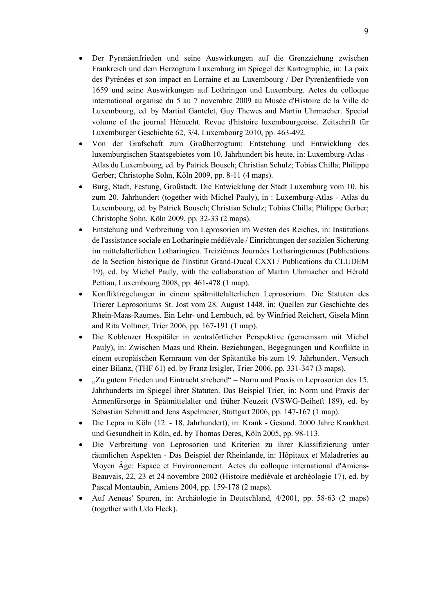- Der Pyrenäenfrieden und seine Auswirkungen auf die Grenzziehung zwischen Frankreich und dem Herzogtum Luxemburg im Spiegel der Kartographie, in: La paix des Pyrénées et son impact en Lorraine et au Luxembourg / Der Pyrenäenfriede von 1659 und seine Auswirkungen auf Lothringen und Luxemburg. Actes du colloque international organisé du 5 au 7 novembre 2009 au Musée d'Histoire de la Ville de Luxembourg, ed. by Martial Gantelet, Guy Thewes and Martin Uhrmacher. Special volume of the journal Hémecht. Revue d'histoire luxembourgeoise. Zeitschrift für Luxemburger Geschichte 62, 3/4, Luxembourg 2010, pp. 463-492.
- Von der Grafschaft zum Großherzogtum: Entstehung und Entwicklung des luxemburgischen Staatsgebietes vom 10. Jahrhundert bis heute, in: Luxemburg-Atlas - Atlas du Luxembourg, ed. by Patrick Bousch; Christian Schulz; Tobias Chilla; Philippe Gerber; Christophe Sohn, Köln 2009, pp. 8-11 (4 maps).
- Burg, Stadt, Festung, Großstadt. Die Entwicklung der Stadt Luxemburg vom 10. bis zum 20. Jahrhundert (together with Michel Pauly), in : Luxemburg-Atlas - Atlas du Luxembourg, ed. by Patrick Bousch; Christian Schulz; Tobias Chilla; Philippe Gerber; Christophe Sohn, Köln 2009, pp. 32-33 (2 maps).
- Entstehung und Verbreitung von Leprosorien im Westen des Reiches, in: Institutions de l'assistance sociale en Lotharingie médiévale / Einrichtungen der sozialen Sicherung im mittelalterlichen Lotharingien. Treizièmes Journées Lotharingiennes (Publications de la Section historique de l'Institut Grand-Ducal CXXI / Publications du CLUDEM 19), ed. by Michel Pauly, with the collaboration of Martin Uhrmacher and Hérold Pettiau, Luxembourg 2008, pp. 461-478 (1 map).
- Konfliktregelungen in einem spätmittelalterlichen Leprosorium. Die Statuten des Trierer Leprosoriums St. Jost vom 28. August 1448, in: Quellen zur Geschichte des Rhein-Maas-Raumes. Ein Lehr- und Lernbuch, ed. by Winfried Reichert, Gisela Minn and Rita Voltmer, Trier 2006, pp. 167-191 (1 map).
- Die Koblenzer Hospitäler in zentralörtlicher Perspektive (gemeinsam mit Michel Pauly), in: Zwischen Maas und Rhein. Beziehungen, Begegnungen und Konflikte in einem europäischen Kernraum von der Spätantike bis zum 19. Jahrhundert. Versuch einer Bilanz, (THF 61) ed. by Franz Irsigler, Trier 2006, pp. 331-347 (3 maps).
- "Zu gutem Frieden und Eintracht strebend" Norm und Praxis in Leprosorien des 15. Jahrhunderts im Spiegel ihrer Statuten. Das Beispiel Trier, in: Norm und Praxis der Armenfürsorge in Spätmittelalter und früher Neuzeit (VSWG-Beiheft 189), ed. by Sebastian Schmitt and Jens Aspelmeier, Stuttgart 2006, pp. 147-167 (1 map).
- Die Lepra in Köln (12. 18. Jahrhundert), in: Krank Gesund. 2000 Jahre Krankheit und Gesundheit in Köln, ed. by Thomas Deres, Köln 2005, pp. 98-113.
- Die Verbreitung von Leprosorien und Kriterien zu ihrer Klassifizierung unter räumlichen Aspekten - Das Beispiel der Rheinlande, in: Hôpitaux et Maladreries au Moyen Âge: Espace et Environnement. Actes du colloque international d'Amiens-Beauvais, 22, 23 et 24 novembre 2002 (Histoire mediévale et archéologie 17), ed. by Pascal Montaubin, Amiens 2004, pp. 159-178 (2 maps).
- Auf Aeneas' Spuren, in: Archäologie in Deutschland, 4/2001, pp. 58-63 (2 maps) (together with Udo Fleck).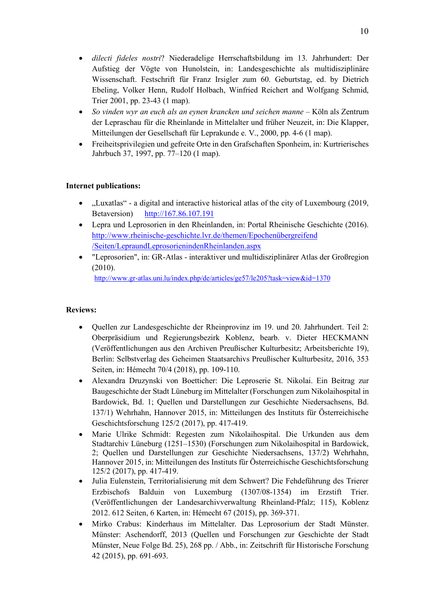- *dilecti fideles nostri*? Niederadelige Herrschaftsbildung im 13. Jahrhundert: Der Aufstieg der Vögte von Hunolstein, in: Landesgeschichte als multidisziplinäre Wissenschaft. Festschrift für Franz Irsigler zum 60. Geburtstag, ed. by Dietrich Ebeling, Volker Henn, Rudolf Holbach, Winfried Reichert and Wolfgang Schmid, Trier 2001, pp. 23-43 (1 map).
- *So vinden wyr an euch als an eynen krancken und seichen manne* Köln als Zentrum der Lepraschau für die Rheinlande in Mittelalter und früher Neuzeit, in: Die Klapper, Mitteilungen der Gesellschaft für Leprakunde e. V., 2000, pp. 4-6 (1 map).
- Freiheitsprivilegien und gefreite Orte in den Grafschaften Sponheim, in: Kurtrierisches Jahrbuch 37, 1997, pp. 77–120 (1 map).

# **Internet publications:**

- "Luxatlas" a digital and interactive historical atlas of the city of Luxembourg (2019, Betaversion) http://167.86.107.191
- Lepra und Leprosorien in den Rheinlanden, in: Portal Rheinische Geschichte (2016). http://www.rheinische-geschichte.lvr.de/themen/Epochenübergreifend /Seiten/LepraundLeprosorienindenRheinlanden.aspx
- "Leprosorien", in: GR-Atlas interaktiver und multidisziplinärer Atlas der Großregion (2010).

http://www.gr-atlas.uni.lu/index.php/de/articles/ge57/le205?task=view&id=1370

# **Reviews:**

- Quellen zur Landesgeschichte der Rheinprovinz im 19. und 20. Jahrhundert. Teil 2: Oberpräsidium und Regierungsbezirk Koblenz, bearb. v. Dieter HECKMANN (Veröffentlichungen aus den Archiven Preußischer Kulturbesitz; Arbeitsberichte 19), Berlin: Selbstverlag des Geheimen Staatsarchivs Preußischer Kulturbesitz, 2016, 353 Seiten, in: Hémecht 70/4 (2018), pp. 109-110.
- Alexandra Druzynski von Boetticher: Die Leproserie St. Nikolai. Ein Beitrag zur Baugeschichte der Stadt Lüneburg im Mittelalter (Forschungen zum Nikolaihospital in Bardowick, Bd. 1; Quellen und Darstellungen zur Geschichte Niedersachsens, Bd. 137/1) Wehrhahn, Hannover 2015, in: Mitteilungen des Instituts für Österreichische Geschichtsforschung 125/2 (2017), pp. 417-419.
- Marie Ulrike Schmidt: Regesten zum Nikolaihospital. Die Urkunden aus dem Stadtarchiv Lüneburg (1251–1530) (Forschungen zum Nikolaihospital in Bardowick, 2; Quellen und Darstellungen zur Geschichte Niedersachsens, 137/2) Wehrhahn, Hannover 2015, in: Mitteilungen des Instituts für Österreichische Geschichtsforschung 125/2 (2017), pp. 417-419.
- Julia Eulenstein, Territorialisierung mit dem Schwert? Die Fehdeführung des Trierer Erzbischofs Balduin von Luxemburg (1307/08-1354) im Erzstift Trier. (Veröffentlichungen der Landesarchivverwaltung Rheinland-Pfalz; 115), Koblenz 2012. 612 Seiten, 6 Karten, in: Hémecht 67 (2015), pp. 369-371.
- Mirko Crabus: Kinderhaus im Mittelalter. Das Leprosorium der Stadt Münster. Münster: Aschendorff, 2013 (Quellen und Forschungen zur Geschichte der Stadt Münster, Neue Folge Bd. 25), 268 pp. / Abb., in: Zeitschrift für Historische Forschung 42 (2015), pp. 691-693.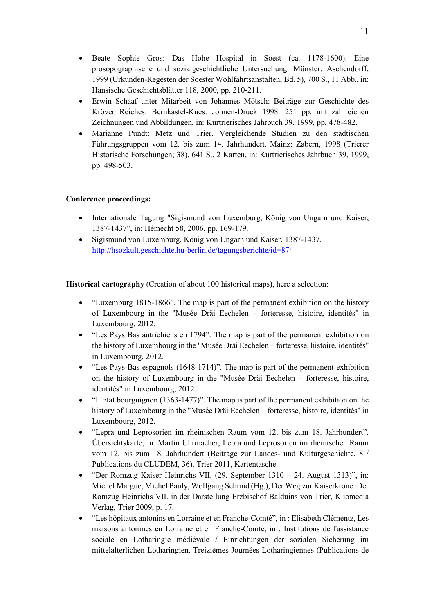- Beate Sophie Gros: Das Hohe Hospital in Soest (ca. 1178-1600). Eine prosopographische und sozialgeschichtliche Untersuchung. Münster: Aschendorff, 1999 (Urkunden-Regesten der Soester Wohlfahrtsanstalten, Bd. 5), 700 S., 11 Abb., in: Hansische Geschichtsblätter 118, 2000, pp. 210-211.
- Erwin Schaaf unter Mitarbeit von Johannes Mötsch: Beiträge zur Geschichte des Kröver Reiches. Bernkastel-Kues: Johnen-Druck 1998. 251 pp. mit zahlreichen Zeichnungen und Abbildungen, in: Kurtrierisches Jahrbuch 39, 1999, pp. 478-482.
- Marianne Pundt: Metz und Trier. Vergleichende Studien zu den städtischen Führungsgruppen vom 12. bis zum 14. Jahrhundert. Mainz: Zabern, 1998 (Trierer Historische Forschungen; 38), 641 S., 2 Karten, in: Kurtrierisches Jahrbuch 39, 1999, pp. 498-503.

# **Conference proceedings:**

- Internationale Tagung "Sigismund von Luxemburg, König von Ungarn und Kaiser, 1387-1437", in: Hémecht 58, 2006, pp. 169-179.
- Sigismund von Luxemburg, König von Ungarn und Kaiser, 1387-1437. http://hsozkult.geschichte.hu-berlin.de/tagungsberichte/id=874

**Historical cartography** (Creation of about 100 historical maps), here a selection:

- "Luxemburg 1815-1866". The map is part of the permanent exhibition on the history of Luxembourg in the "Musée Dräi Eechelen – forteresse, histoire, identités" in Luxembourg, 2012.
- "Les Pays Bas autrichiens en 1794". The map is part of the permanent exhibition on the history of Luxembourg in the "Musée Dräi Eechelen – forteresse, histoire, identités" in Luxembourg, 2012.
- "Les Pays-Bas espagnols (1648-1714)". The map is part of the permanent exhibition on the history of Luxembourg in the "Musée Dräi Eechelen – forteresse, histoire, identités" in Luxembourg, 2012.
- "L'Etat bourguignon (1363-1477)". The map is part of the permanent exhibition on the history of Luxembourg in the "Musée Dräi Eechelen – forteresse, histoire, identités" in Luxembourg, 2012.
- "Lepra und Leprosorien im rheinischen Raum vom 12. bis zum 18. Jahrhundert", Übersichtskarte, in: Martin Uhrmacher, Lepra und Leprosorien im rheinischen Raum vom 12. bis zum 18. Jahrhundert (Beiträge zur Landes- und Kulturgeschichte, 8 / Publications du CLUDEM, 36), Trier 2011, Kartentasche.
- "Der Romzug Kaiser Heinrichs VII. (29. September 1310 24. August 1313)", in: Michel Margue, Michel Pauly, Wolfgang Schmid (Hg.), Der Weg zur Kaiserkrone. Der Romzug Heinrichs VII. in der Darstellung Erzbischof Balduins von Trier, Kliomedia Verlag, Trier 2009, p. 17.
- "Les hôpitaux antonins en Lorraine et en Franche-Comté", in : Elisabeth Clémentz, Les maisons antonines en Lorraine et en Franche-Comté, in : Institutions de l'assistance sociale en Lotharingie médiévale / Einrichtungen der sozialen Sicherung im mittelalterlichen Lotharingien. Treizièmes Journées Lotharingiennes (Publications de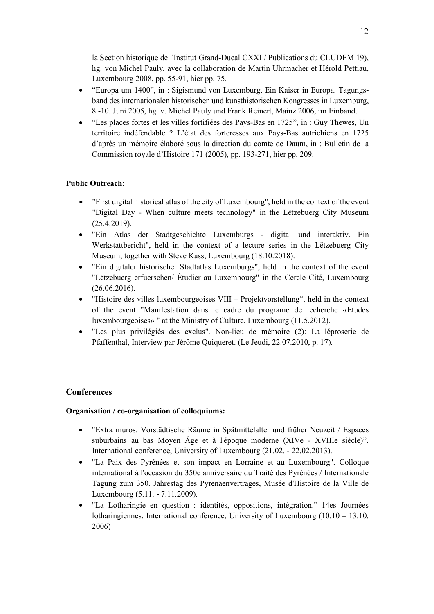la Section historique de l'Institut Grand-Ducal CXXI / Publications du CLUDEM 19), hg. von Michel Pauly, avec la collaboration de Martin Uhrmacher et Hérold Pettiau, Luxembourg 2008, pp. 55-91, hier pp. 75.

- "Europa um 1400", in : Sigismund von Luxemburg. Ein Kaiser in Europa. Tagungsband des internationalen historischen und kunsthistorischen Kongresses in Luxemburg, 8.-10. Juni 2005, hg. v. Michel Pauly und Frank Reinert, Mainz 2006, im Einband.
- "Les places fortes et les villes fortifiées des Pays-Bas en 1725", in : Guy Thewes, Un territoire indéfendable ? L'état des forteresses aux Pays-Bas autrichiens en 1725 d'après un mémoire élaboré sous la direction du comte de Daum, in : Bulletin de la Commission royale d'Histoire 171 (2005), pp. 193-271, hier pp. 209.

# **Public Outreach:**

- "First digital historical atlas of the city of Luxembourg", held in the context of the event "Digital Day - When culture meets technology" in the Lëtzebuerg City Museum (25.4.2019).
- "Ein Atlas der Stadtgeschichte Luxemburgs digital und interaktiv. Ein Werkstattbericht", held in the context of a lecture series in the Lëtzebuerg City Museum, together with Steve Kass, Luxembourg (18.10.2018).
- "Ein digitaler historischer Stadtatlas Luxemburgs", held in the context of the event "Lëtzebuerg erfuerschen/ Étudier au Luxembourg" in the Cercle Cité, Luxembourg (26.06.2016).
- "Histoire des villes luxembourgeoises VIII Projektvorstellung", held in the context of the event "Manifestation dans le cadre du programe de recherche «Etudes luxembourgeoises» " at the Ministry of Culture, Luxembourg (11.5.2012).
- "Les plus privilégiés des exclus". Non-lieu de mémoire (2): La léproserie de Pfaffenthal, Interview par Jérôme Quiqueret. (Le Jeudi, 22.07.2010, p. 17).

# **Conferences**

# **Organisation / co-organisation of colloquiums:**

- "Extra muros. Vorstädtische Räume in Spätmittelalter und früher Neuzeit / Espaces suburbains au bas Moyen Âge et à l'époque moderne (XIVe - XVIIIe siècle)". International conference, University of Luxembourg (21.02. - 22.02.2013).
- "La Paix des Pyrénées et son impact en Lorraine et au Luxembourg". Colloque international à l'occasion du 350e anniversaire du Traité des Pyrénées / Internationale Tagung zum 350. Jahrestag des Pyrenäenvertrages, Musée d'Histoire de la Ville de Luxembourg (5.11. - 7.11.2009).
- "La Lotharingie en question : identités, oppositions, intégration." 14es Journées lotharingiennes, International conference, University of Luxembourg  $(10.10 - 13.10)$ . 2006)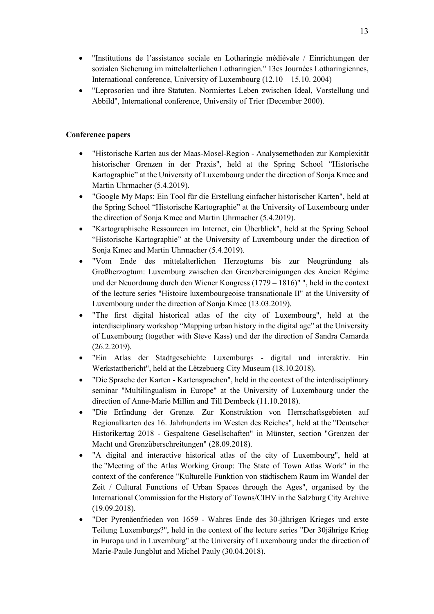- "Institutions de l'assistance sociale en Lotharingie médiévale / Einrichtungen der sozialen Sicherung im mittelalterlichen Lotharingien." 13es Journées Lotharingiennes, International conference, University of Luxembourg (12.10 – 15.10. 2004)
- "Leprosorien und ihre Statuten. Normiertes Leben zwischen Ideal, Vorstellung und Abbild", International conference, University of Trier (December 2000).

# **Conference papers**

- "Historische Karten aus der Maas-Mosel-Region Analysemethoden zur Komplexität historischer Grenzen in der Praxis", held at the Spring School "Historische Kartographie" at the University of Luxembourg under the direction of Sonja Kmec and Martin Uhrmacher (5.4.2019).
- "Google My Maps: Ein Tool für die Erstellung einfacher historischer Karten", held at the Spring School "Historische Kartographie" at the University of Luxembourg under the direction of Sonja Kmec and Martin Uhrmacher (5.4.2019).
- "Kartographische Ressourcen im Internet, ein Überblick", held at the Spring School "Historische Kartographie" at the University of Luxembourg under the direction of Sonja Kmec and Martin Uhrmacher (5.4.2019).
- "Vom Ende des mittelalterlichen Herzogtums bis zur Neugründung als Großherzogtum: Luxemburg zwischen den Grenzbereinigungen des Ancien Régime und der Neuordnung durch den Wiener Kongress (1779 – 1816)" ", held in the context of the lecture series "Histoire luxembourgeoise transnationale II" at the University of Luxembourg under the direction of Sonja Kmec (13.03.2019).
- "The first digital historical atlas of the city of Luxembourg", held at the interdisciplinary workshop "Mapping urban history in the digital age" at the University of Luxembourg (together with Steve Kass) und der the direction of Sandra Camarda (26.2.2019).
- "Ein Atlas der Stadtgeschichte Luxemburgs digital und interaktiv. Ein Werkstattbericht", held at the Lëtzebuerg City Museum (18.10.2018).
- "Die Sprache der Karten Kartensprachen", held in the context of the interdisciplinary seminar "Multilingualism in Europe" at the University of Luxembourg under the direction of Anne-Marie Millim and Till Dembeck (11.10.2018).
- "Die Erfindung der Grenze. Zur Konstruktion von Herrschaftsgebieten auf Regionalkarten des 16. Jahrhunderts im Westen des Reiches", held at the "Deutscher Historikertag 2018 - Gespaltene Gesellschaften" in Münster, section "Grenzen der Macht und Grenzüberschreitungen" (28.09.2018).
- "A digital and interactive historical atlas of the city of Luxembourg", held at the "Meeting of the Atlas Working Group: The State of Town Atlas Work" in the context of the conference "Kulturelle Funktion von städtischem Raum im Wandel der Zeit / Cultural Functions of Urban Spaces through the Ages", organised by the International Commission for the History of Towns/CIHV in the Salzburg City Archive (19.09.2018).
- "Der Pyrenäenfrieden von 1659 Wahres Ende des 30-jährigen Krieges und erste Teilung Luxemburgs?", held in the context of the lecture series "Der 30jährige Krieg in Europa und in Luxemburg" at the University of Luxembourg under the direction of Marie-Paule Jungblut and Michel Pauly (30.04.2018).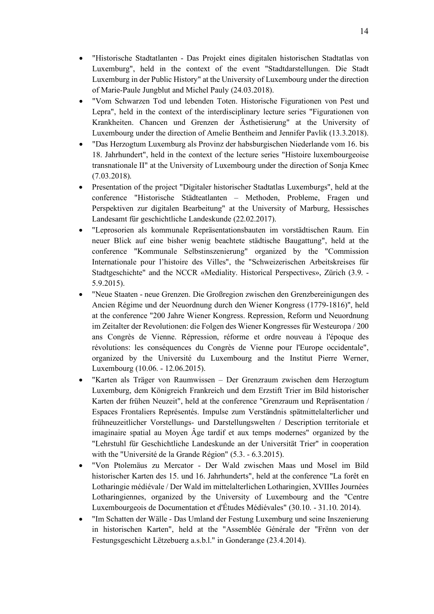- "Historische Stadtatlanten Das Projekt eines digitalen historischen Stadtatlas von Luxemburg", held in the context of the event "Stadtdarstellungen. Die Stadt Luxemburg in der Public History" at the University of Luxembourg under the direction of Marie-Paule Jungblut and Michel Pauly (24.03.2018).
- "Vom Schwarzen Tod und lebenden Toten. Historische Figurationen von Pest und Lepra", held in the context of the interdisciplinary lecture series "Figurationen von Krankheiten. Chancen und Grenzen der Ästhetisierung" at the University of Luxembourg under the direction of Amelie Bentheim and Jennifer Pavlik (13.3.2018).
- "Das Herzogtum Luxemburg als Provinz der habsburgischen Niederlande vom 16. bis 18. Jahrhundert", held in the context of the lecture series "Histoire luxembourgeoise transnationale II" at the University of Luxembourg under the direction of Sonja Kmec (7.03.2018).
- Presentation of the project "Digitaler historischer Stadtatlas Luxemburgs", held at the conference "Historische Städteatlanten – Methoden, Probleme, Fragen und Perspektiven zur digitalen Bearbeitung" at the University of Marburg, Hessisches Landesamt für geschichtliche Landeskunde (22.02.2017).
- "Leprosorien als kommunale Repräsentationsbauten im vorstädtischen Raum. Ein neuer Blick auf eine bisher wenig beachtete städtische Baugattung", held at the conference "Kommunale Selbstinszenierung" organized by the "Commission Internationale pour l'histoire des Villes", the "Schweizerischen Arbeitskreises für Stadtgeschichte" and the NCCR «Mediality. Historical Perspectives», Zürich (3.9. - 5.9.2015).
- "Neue Staaten neue Grenzen. Die Großregion zwischen den Grenzbereinigungen des Ancien Régime und der Neuordnung durch den Wiener Kongress (1779-1816)", held at the conference "200 Jahre Wiener Kongress. Repression, Reform und Neuordnung im Zeitalter der Revolutionen: die Folgen des Wiener Kongresses für Westeuropa / 200 ans Congrès de Vienne. Répression, réforme et ordre nouveau à l'époque des révolutions: les conséquences du Congrès de Vienne pour l'Europe occidentale", organized by the Université du Luxembourg and the Institut Pierre Werner, Luxembourg (10.06. - 12.06.2015).
- "Karten als Träger von Raumwissen Der Grenzraum zwischen dem Herzogtum Luxemburg, dem Königreich Frankreich und dem Erzstift Trier im Bild historischer Karten der frühen Neuzeit", held at the conference "Grenzraum und Repräsentation / Espaces Frontaliers Représentés. Impulse zum Verständnis spätmittelalterlicher und frühneuzeitlicher Vorstellungs- und Darstellungswelten / Description territoriale et imaginaire spatial au Moyen Âge tardif et aux temps modernes" organized by the "Lehrstuhl für Geschichtliche Landeskunde an der Universität Trier" in cooperation with the "Université de la Grande Région" (5.3. - 6.3.2015).
- "Von Ptolemäus zu Mercator Der Wald zwischen Maas und Mosel im Bild historischer Karten des 15. und 16. Jahrhunderts", held at the conference "La forêt en Lotharingie médiévale / Der Wald im mittelalterlichen Lotharingien, XVIIIes Journées Lotharingiennes, organized by the University of Luxembourg and the "Centre Luxembourgeois de Documentation et d'Études Médiévales" (30.10. - 31.10. 2014).
- "Im Schatten der Wälle Das Umland der Festung Luxemburg und seine Inszenierung in historischen Karten", held at the "Assemblée Générale der "Frënn von der Festungsgeschicht Lëtzebuerg a.s.b.l." in Gonderange (23.4.2014).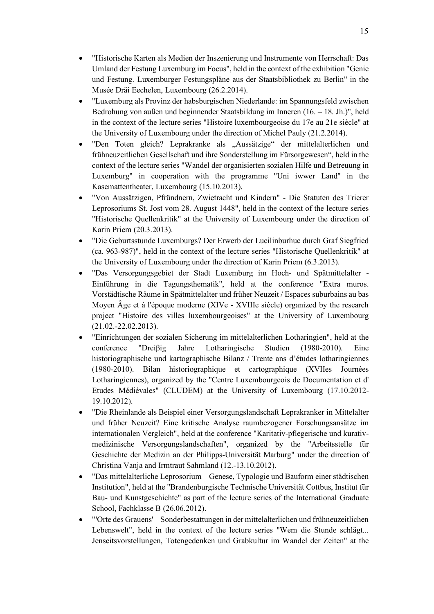- "Historische Karten als Medien der Inszenierung und Instrumente von Herrschaft: Das Umland der Festung Luxemburg im Focus", held in the context of the exhibition "Genie und Festung. Luxemburger Festungspläne aus der Staatsbibliothek zu Berlin" in the Musée Dräi Eechelen, Luxembourg (26.2.2014).
- "Luxemburg als Provinz der habsburgischen Niederlande: im Spannungsfeld zwischen Bedrohung von außen und beginnender Staatsbildung im Inneren (16. – 18. Jh.)", held in the context of the lecture series "Histoire luxembourgeoise du 17e au 21e siècle" at the University of Luxembourg under the direction of Michel Pauly (21.2.2014).
- "Den Toten gleich? Leprakranke als "Aussätzige" der mittelalterlichen und frühneuzeitlichen Gesellschaft und ihre Sonderstellung im Fürsorgewesen", held in the context of the lecture series "Wandel der organisierten sozialen Hilfe und Betreuung in Luxemburg" in cooperation with the programme "Uni iwwer Land" in the Kasemattentheater, Luxembourg (15.10.2013).
- "Von Aussätzigen, Pfründnern, Zwietracht und Kindern" Die Statuten des Trierer Leprosoriums St. Jost vom 28. August 1448", held in the context of the lecture series "Historische Quellenkritik" at the University of Luxembourg under the direction of Karin Priem (20.3.2013).
- "Die Geburtsstunde Luxemburgs? Der Erwerb der Lucilinburhuc durch Graf Siegfried (ca. 963-987)", held in the context of the lecture series "Historische Quellenkritik" at the University of Luxembourg under the direction of Karin Priem (6.3.2013).
- "Das Versorgungsgebiet der Stadt Luxemburg im Hoch- und Spätmittelalter Einführung in die Tagungsthematik", held at the conference "Extra muros. Vorstädtische Räume in Spätmittelalter und früher Neuzeit / Espaces suburbains au bas Moyen Âge et à l'époque moderne (XIVe - XVIIIe siècle) organized by the research project "Histoire des villes luxembourgeoises" at the University of Luxembourg (21.02.-22.02.2013).
- "Einrichtungen der sozialen Sicherung im mittelalterlichen Lotharingien", held at the conference "Dreiβig Jahre Lotharingische Studien (1980-2010). Eine historiographische und kartographische Bilanz / Trente ans d'études lotharingiennes (1980-2010). Bilan historiographique et cartographique (XVIIes Journées Lotharingiennes), organized by the "Centre Luxembourgeois de Documentation et d' Etudes Médiévales" (CLUDEM) at the University of Luxembourg (17.10.2012- 19.10.2012).
- "Die Rheinlande als Beispiel einer Versorgungslandschaft Leprakranker in Mittelalter und früher Neuzeit? Eine kritische Analyse raumbezogener Forschungsansätze im internationalen Vergleich", held at the conference "Karitativ-pflegerische und kurativmedizinische Versorgungslandschaften", organized by the "Arbeitsstelle für Geschichte der Medizin an der Philipps-Universität Marburg" under the direction of Christina Vanja and Irmtraut Sahmland (12.-13.10.2012).
- "Das mittelalterliche Leprosorium Genese, Typologie und Bauform einer städtischen Institution", held at the "Brandenburgische Technische Universität Cottbus, Institut für Bau- und Kunstgeschichte" as part of the lecture series of the International Graduate School, Fachklasse B (26.06.2012).
- "'Orte des Grauens' Sonderbestattungen in der mittelalterlichen und frühneuzeitlichen Lebenswelt", held in the context of the lecture series "Wem die Stunde schlägt... Jenseitsvorstellungen, Totengedenken und Grabkultur im Wandel der Zeiten" at the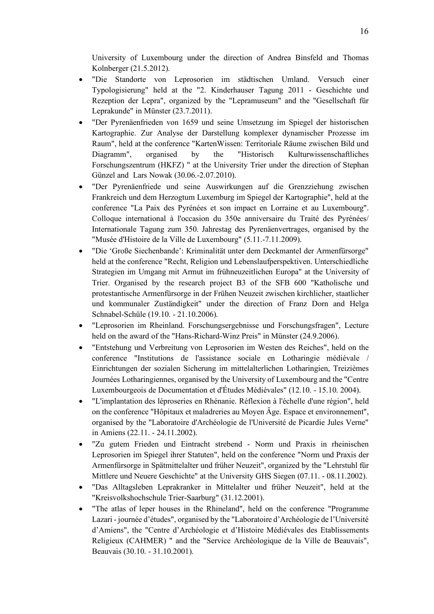University of Luxembourg under the direction of Andrea Binsfeld and Thomas Kolnberger (21.5.2012).

- "Die Standorte von Leprosorien im städtischen Umland. Versuch einer Typologisierung" held at the "2. Kinderhauser Tagung 2011 - Geschichte und Rezeption der Lepra", organized by the "Lepramuseum" and the "Gesellschaft für Leprakunde" in Münster (23.7.2011).
- "Der Pyrenäenfrieden von 1659 und seine Umsetzung im Spiegel der historischen Kartographie. Zur Analyse der Darstellung komplexer dynamischer Prozesse im Raum", held at the conference "KartenWissen: Territoriale Räume zwischen Bild und Diagramm", organised by the "Historisch Kulturwissenschaftliches Forschungszentrum (HKFZ) " at the University Trier under the direction of Stephan Günzel and Lars Nowak (30.06.-2.07.2010).
- "Der Pyrenäenfriede und seine Auswirkungen auf die Grenzziehung zwischen Frankreich und dem Herzogtum Luxemburg im Spiegel der Kartographie", held at the conference "La Paix des Pyrénées et son impact en Lorraine et au Luxembourg". Colloque international à l'occasion du 350e anniversaire du Traité des Pyrénées/ Internationale Tagung zum 350. Jahrestag des Pyrenäenvertrages, organised by the "Musée d'Histoire de la Ville de Luxembourg" (5.11.-7.11.2009).
- "Die 'Große Siechenbande': Kriminalität unter dem Deckmantel der Armenfürsorge" held at the conference "Recht, Religion und Lebenslaufperspektiven. Unterschiedliche Strategien im Umgang mit Armut im frühneuzeitlichen Europa" at the University of Trier. Organised by the research project B3 of the SFB 600 "Katholische und protestantische Armenfürsorge in der Frühen Neuzeit zwischen kirchlicher, staatlicher und kommunaler Zuständigkeit" under the direction of Franz Dorn and Helga Schnabel-Schüle (19.10. - 21.10.2006).
- "Leprosorien im Rheinland. Forschungsergebnisse und Forschungsfragen", Lecture held on the award of the "Hans-Richard-Winz Preis" in Münster (24.9.2006).
- "Entstehung und Verbreitung von Leprosorien im Westen des Reiches", held on the conference "Institutions de l'assistance sociale en Lotharingie médiévale / Einrichtungen der sozialen Sicherung im mittelalterlichen Lotharingien, Treizièmes Journées Lotharingiennes, organised by the University of Luxembourg and the "Centre Luxembourgeois de Documentation et d'Études Médiévales" (12.10. - 15.10. 2004).
- "L'implantation des léproseries en Rhénanie. Réflexion à l'échelle d'une région", held on the conference "Hôpitaux et maladreries au Moyen Âge. Espace et environnement", organised by the "Laboratoire d'Archéologie de l'Université de Picardie Jules Verne" in Amiens (22.11. - 24.11.2002).
- "Zu gutem Frieden und Eintracht strebend Norm und Praxis in rheinischen Leprosorien im Spiegel ihrer Statuten", held on the conference "Norm und Praxis der Armenfürsorge in Spätmittelalter und früher Neuzeit", organized by the "Lehrstuhl für Mittlere und Neuere Geschichte" at the University GHS Siegen (07.11. - 08.11.2002).
- "Das Alltagsleben Leprakranker in Mittelalter und früher Neuzeit", held at the "Kreisvolkshochschule Trier-Saarburg" (31.12.2001).
- "The atlas of leper houses in the Rhineland", held on the conference "Programme" Lazari - journée d'études", organised by the "Laboratoire d'Archéologie de l'Université d'Amiens", the "Centre d'Archéologie et d'Histoire Médiévales des Etablissements Religieux (CAHMER) " and the "Service Archéologique de la Ville de Beauvais", Beauvais (30.10. - 31.10.2001).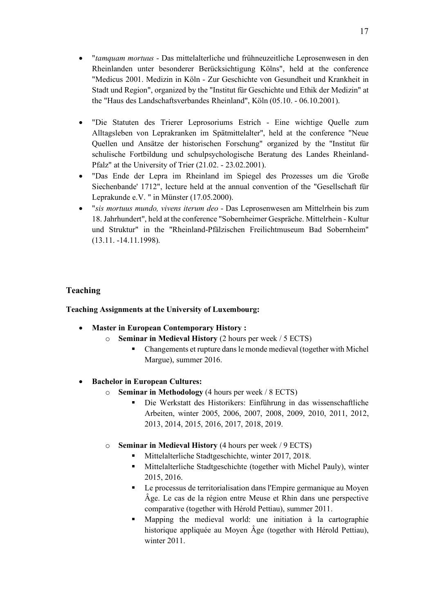- "*tamquam mortuus* Das mittelalterliche und frühneuzeitliche Leprosenwesen in den Rheinlanden unter besonderer Berücksichtigung Kölns", held at the conference "Medicus 2001. Medizin in Köln - Zur Geschichte von Gesundheit und Krankheit in Stadt und Region", organized by the "Institut für Geschichte und Ethik der Medizin" at the "Haus des Landschaftsverbandes Rheinland", Köln (05.10. - 06.10.2001).
- "Die Statuten des Trierer Leprosoriums Estrich Eine wichtige Quelle zum Alltagsleben von Leprakranken im Spätmittelalter", held at the conference "Neue Quellen und Ansätze der historischen Forschung" organized by the "Institut für schulische Fortbildung und schulpsychologische Beratung des Landes Rheinland-Pfalz" at the University of Trier (21.02. - 23.02.2001).
- "Das Ende der Lepra im Rheinland im Spiegel des Prozesses um die 'Große Siechenbande' 1712", lecture held at the annual convention of the "Gesellschaft für Leprakunde e.V. " in Münster (17.05.2000).
- "*sis mortuus mundo, vivens iterum deo* Das Leprosenwesen am Mittelrhein bis zum 18. Jahrhundert", held at the conference "Sobernheimer Gespräche. Mittelrhein - Kultur und Struktur" in the "Rheinland-Pfälzischen Freilichtmuseum Bad Sobernheim" (13.11. -14.11.1998).

# **Teaching**

**Teaching Assignments at the University of Luxembourg:**

- **Master in European Contemporary History :** 
	- o **Seminar in Medieval History** (2 hours per week / 5 ECTS)
		- § Changements et rupture dans le monde medieval (together with Michel Margue), summer 2016.
- **Bachelor in European Cultures:** 
	- o **Seminar in Methodology** (4 hours per week / 8 ECTS)
		- § Die Werkstatt des Historikers: Einführung in das wissenschaftliche Arbeiten, winter 2005, 2006, 2007, 2008, 2009, 2010, 2011, 2012, 2013, 2014, 2015, 2016, 2017, 2018, 2019.
	- o **Seminar in Medieval History** (4 hours per week / 9 ECTS)
		- Mittelalterliche Stadtgeschichte, winter 2017, 2018.
		- Mittelalterliche Stadtgeschichte (together with Michel Pauly), winter 2015, 2016.
		- Le processus de territorialisation dans l'Empire germanique au Moyen Âge. Le cas de la région entre Meuse et Rhin dans une perspective comparative (together with Hérold Pettiau), summer 2011.
		- § Mapping the medieval world: une initiation à la cartographie historique appliquée au Moyen Âge (together with Hérold Pettiau), winter 2011